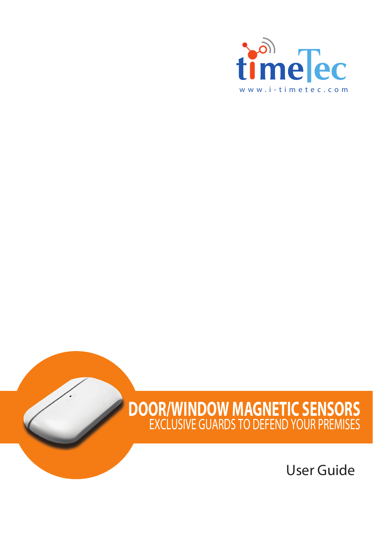

### **DOOR/WINDOW MAGNETIC SENSORS** EXCLUSIVE GUARDS TO DEFEND YOUR PREMISES

User Guide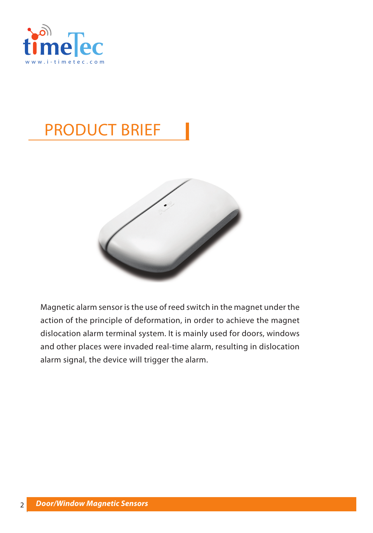

# PRODUCT BRIEF



Magnetic alarm sensor is the use of reed switch in the magnet under the action of the principle of deformation, in order to achieve the magnet dislocation alarm terminal system. It is mainly used for doors, windows and other places were invaded real-time alarm, resulting in dislocation alarm signal, the device will trigger the alarm.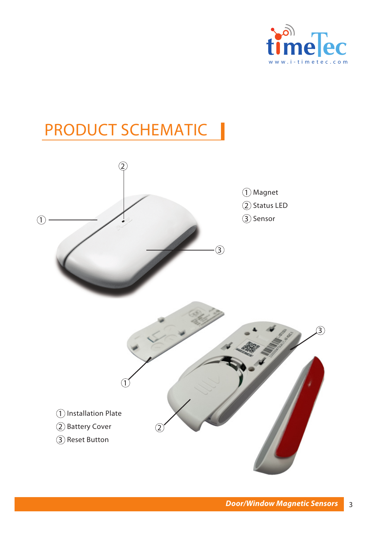

# PRODUCT SCHEMATIC

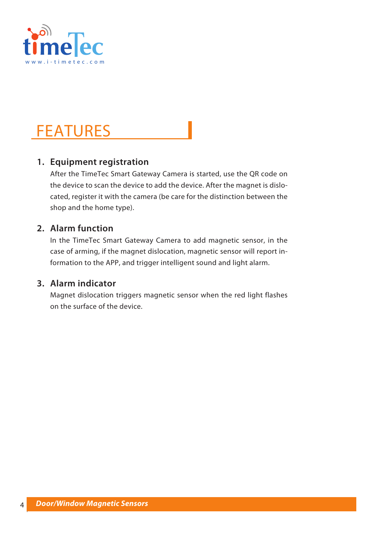

### FEATURES

### **1. Equipment registration**

After the TimeTec Smart Gateway Camera is started, use the QR code on the device to scan the device to add the device. After the magnet is dislocated, register it with the camera (be care for the distinction between the shop and the home type).

#### **2. Alarm function**

In the TimeTec Smart Gateway Camera to add magnetic sensor, in the case of arming, if the magnet dislocation, magnetic sensor will report information to the APP, and trigger intelligent sound and light alarm.

#### **3. Alarm indicator**

Magnet dislocation triggers magnetic sensor when the red light flashes on the surface of the device.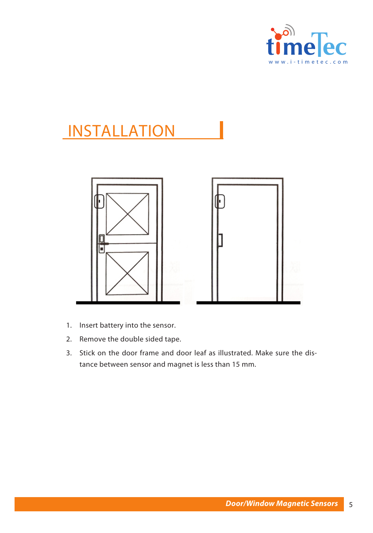

### INSTALLATION



- 1. Insert battery into the sensor.
- 2. Remove the double sided tape.
- 3. Stick on the door frame and door leaf as illustrated. Make sure the distance between sensor and magnet is less than 15 mm.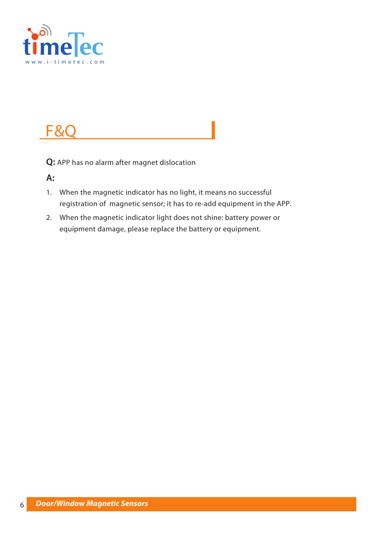

## F&C

**Q:** APP has no alarm after magnet dislocation

**A:**

- 1. When the magnetic indicator has no light, it means no successful registration of magnetic sensor; it has to re-add equipment in the APP.
- 2. When the magnetic indicator light does not shine: battery power or equipment damage, please replace the battery or equipment.